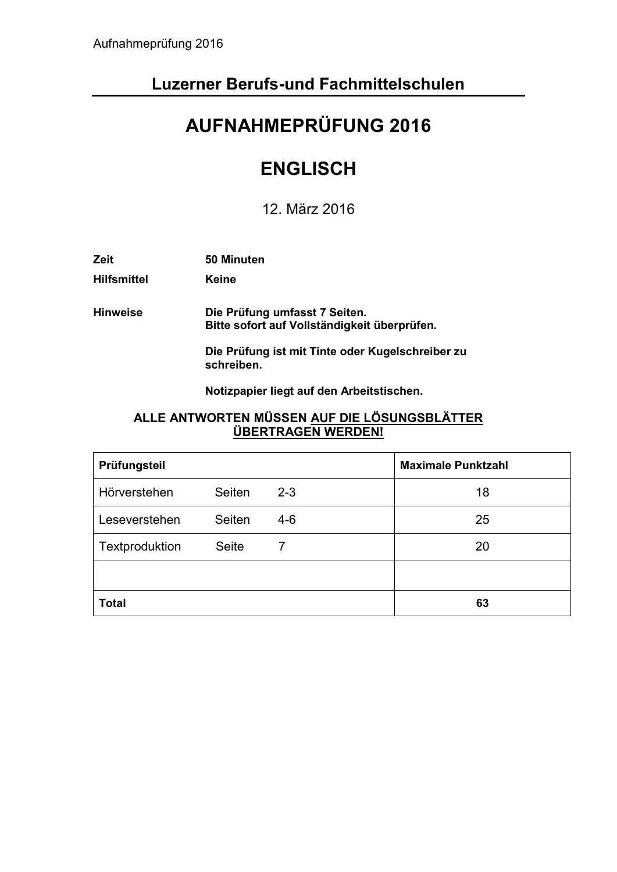# **Luzerner Berufs-und Fachmittelschulen**

# **AUFNAHMEPRÜFUNG 2016**

# **ENGLISCH**

12. März 2016

| Zeit               | 50 Minuten                                                                    |
|--------------------|-------------------------------------------------------------------------------|
| <b>Hilfsmittel</b> | Keine                                                                         |
| <b>Hinweise</b>    | Die Prüfung umfasst 7 Seiten.<br>Bitte sofort auf Vollständigkeit überprüfen. |
|                    | Die Prüfung ist mit Tinte oder Kugelschreiber zu<br>schreiben.                |
|                    | Notizpapier liegt auf den Arbeitstischen.                                     |

## **ALLE ANTWORTEN MÜSSEN AUF DIE LÖSUNGSBLÄTTER ÜBERTRAGEN WERDEN!**

| Prüfungsteil   |              |         | <b>Maximale Punktzahl</b> |  |
|----------------|--------------|---------|---------------------------|--|
| Hörverstehen   | Seiten       | $2 - 3$ | 18                        |  |
| Leseverstehen  | Seiten       | $4 - 6$ | 25                        |  |
| Textproduktion | <b>Seite</b> | 7       | 20                        |  |
|                |              |         |                           |  |
| <b>Total</b>   |              |         | 63                        |  |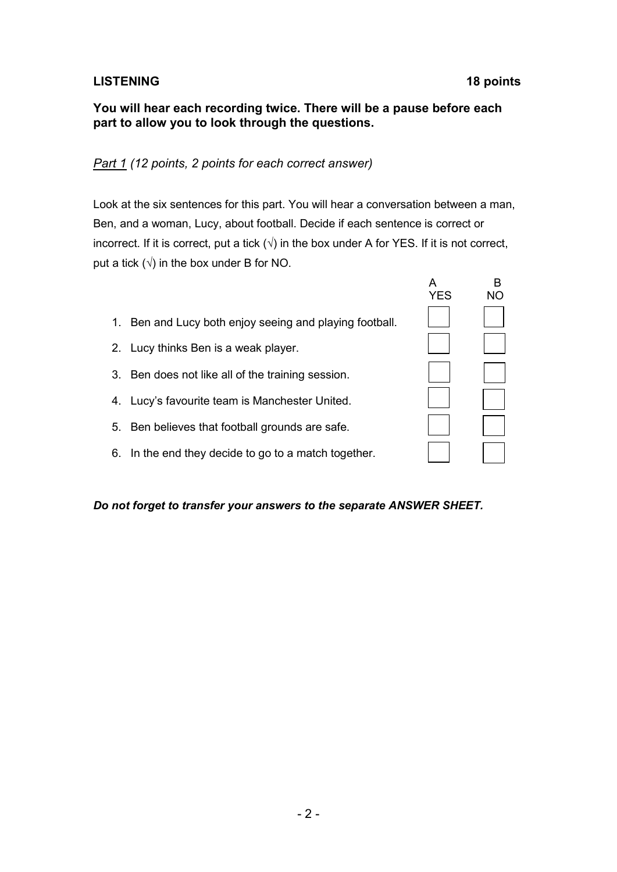# **LISTENING 18 points**

### **You will hear each recording twice. There will be a pause before each part to allow you to look through the questions.**

# *Part 1 (12 points, 2 points for each correct answer)*

Look at the six sentences for this part. You will hear a conversation between a man, Ben, and a woman, Lucy, about football. Decide if each sentence is correct or incorrect. If it is correct, put a tick  $(\sqrt{})$  in the box under A for YES. If it is not correct, put a tick  $(\sqrt{})$  in the box under B for NO.

- 1. Ben and Lucy both enjoy seeing and playing football.
- 2. Lucy thinks Ben is a weak player.
- 3. Ben does not like all of the training session.
- 4. Lucy's favourite team is Manchester United.
- 5. Ben believes that football grounds are safe.
- 6. In the end they decide to go to a match together.

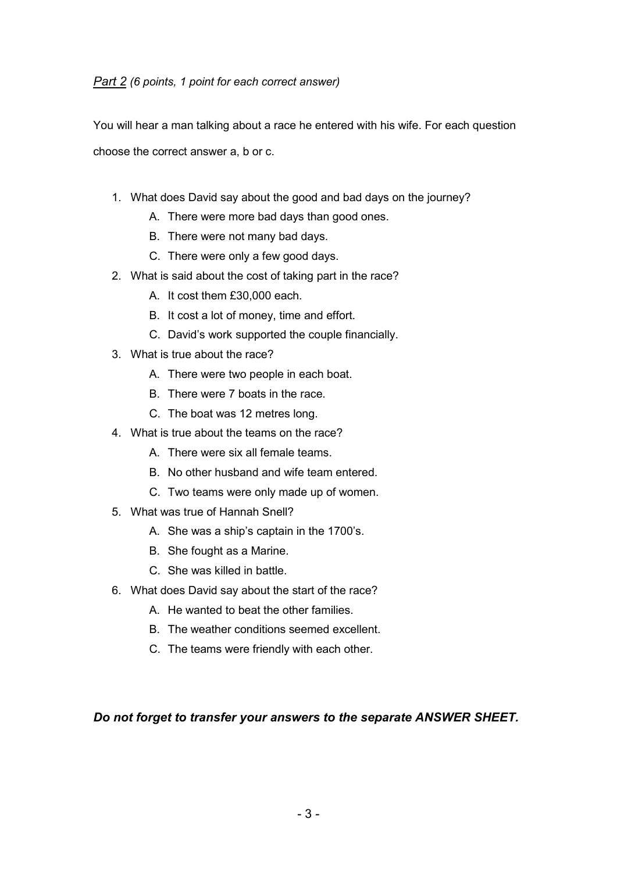You will hear a man talking about a race he entered with his wife. For each question choose the correct answer a, b or c.

- 1. What does David say about the good and bad days on the journey?
	- A. There were more bad days than good ones.
	- B. There were not many bad days.
	- C. There were only a few good days.
- 2. What is said about the cost of taking part in the race?
	- A. It cost them £30,000 each.
	- B. It cost a lot of money, time and effort.
	- C. David's work supported the couple financially.
- 3. What is true about the race?
	- A. There were two people in each boat.
	- B. There were 7 boats in the race.
	- C. The boat was 12 metres long.
- 4. What is true about the teams on the race?
	- A. There were six all female teams.
	- B. No other husband and wife team entered.
	- C. Two teams were only made up of women.
- 5. What was true of Hannah Snell?
	- A. She was a ship's captain in the 1700's.
	- B. She fought as a Marine.
	- C. She was killed in battle.
- 6. What does David say about the start of the race?
	- A. He wanted to beat the other families.
	- B. The weather conditions seemed excellent.
	- C. The teams were friendly with each other.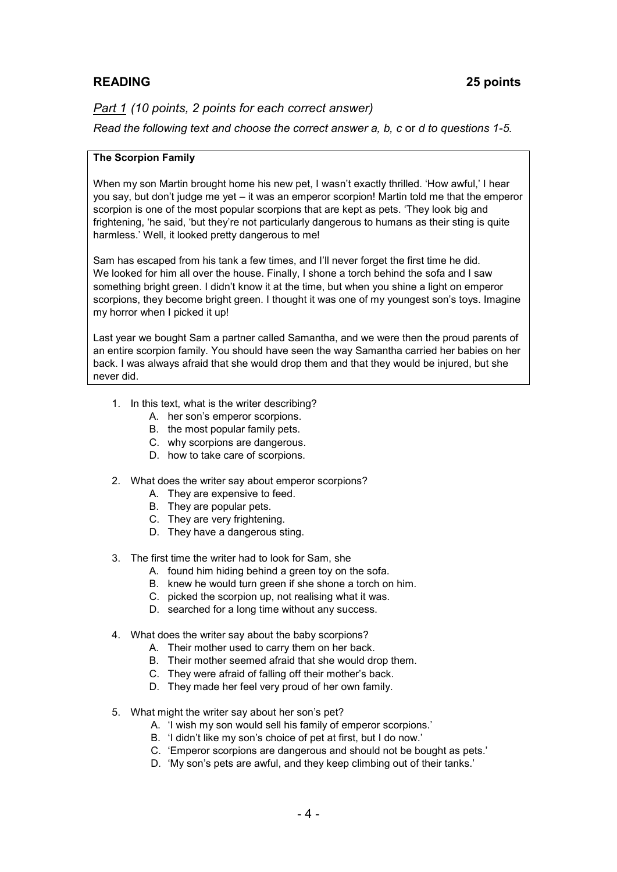# **READING 25 points**

*Part 1 (10 points, 2 points for each correct answer)*

*Read the following text and choose the correct answer a, b, c* or *d to questions 1-5.* 

#### **The Scorpion Family**

When my son Martin brought home his new pet, I wasn't exactly thrilled. 'How awful,' I hear you say, but don't judge me yet – it was an emperor scorpion! Martin told me that the emperor scorpion is one of the most popular scorpions that are kept as pets. 'They look big and frightening, 'he said, 'but they're not particularly dangerous to humans as their sting is quite harmless.' Well, it looked pretty dangerous to me!

Sam has escaped from his tank a few times, and I'll never forget the first time he did. We looked for him all over the house. Finally, I shone a torch behind the sofa and I saw something bright green. I didn't know it at the time, but when you shine a light on emperor scorpions, they become bright green. I thought it was one of my youngest son's toys. Imagine my horror when I picked it up!

Last year we bought Sam a partner called Samantha, and we were then the proud parents of an entire scorpion family. You should have seen the way Samantha carried her babies on her back. I was always afraid that she would drop them and that they would be injured, but she never did.

- 1. In this text, what is the writer describing?
	- A. her son's emperor scorpions.
	- B. the most popular family pets.
	- C. why scorpions are dangerous.
	- D. how to take care of scorpions.
- 2. What does the writer say about emperor scorpions?
	- A. They are expensive to feed.
	- B. They are popular pets.
	- C. They are very frightening.
	- D. They have a dangerous sting.
- 3. The first time the writer had to look for Sam, she
	- A. found him hiding behind a green toy on the sofa.
	- B. knew he would turn green if she shone a torch on him.
	- C. picked the scorpion up, not realising what it was.
	- D. searched for a long time without any success.
- 4. What does the writer say about the baby scorpions?
	- A. Their mother used to carry them on her back.
	- B. Their mother seemed afraid that she would drop them.
	- C. They were afraid of falling off their mother's back.
	- D. They made her feel very proud of her own family.
- 5. What might the writer say about her son's pet?
	- A. 'I wish my son would sell his family of emperor scorpions.'
	- B. 'I didn't like my son's choice of pet at first, but I do now.'
	- C. 'Emperor scorpions are dangerous and should not be bought as pets.'
	- D. 'My son's pets are awful, and they keep climbing out of their tanks.'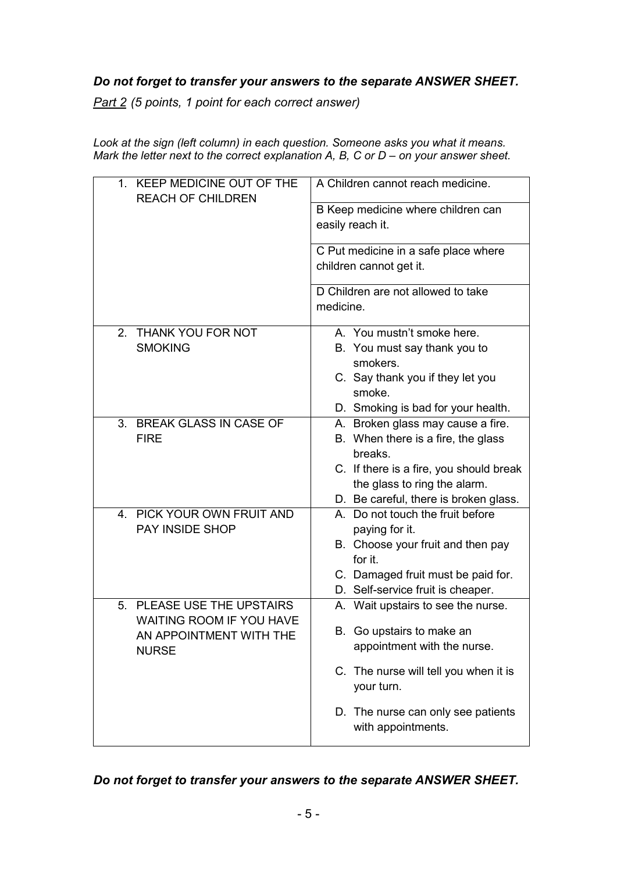# *Do not forget to transfer your answers to the separate ANSWER SHEET.*

*Part 2 (5 points, 1 point for each correct answer)*

*Look at the sign (left column) in each question. Someone asks you what it means. Mark the letter next to the correct explanation A, B, C or D – on your answer sheet.* 

| 1. KEEP MEDICINE OUT OF THE<br><b>REACH OF CHILDREN</b>                                                  | A Children cannot reach medicine.                                                                                                                                                                      |  |  |  |
|----------------------------------------------------------------------------------------------------------|--------------------------------------------------------------------------------------------------------------------------------------------------------------------------------------------------------|--|--|--|
|                                                                                                          | B Keep medicine where children can<br>easily reach it.<br>C Put medicine in a safe place where<br>children cannot get it.                                                                              |  |  |  |
|                                                                                                          |                                                                                                                                                                                                        |  |  |  |
|                                                                                                          | D Children are not allowed to take<br>medicine.                                                                                                                                                        |  |  |  |
| 2. THANK YOU FOR NOT<br><b>SMOKING</b>                                                                   | A. You mustn't smoke here.<br>B. You must say thank you to<br>smokers.<br>C. Say thank you if they let you<br>smoke.<br>D. Smoking is bad for your health.                                             |  |  |  |
| 3. BREAK GLASS IN CASE OF<br><b>FIRE</b>                                                                 | A. Broken glass may cause a fire.<br>B. When there is a fire, the glass<br>breaks.<br>C. If there is a fire, you should break<br>the glass to ring the alarm.<br>D. Be careful, there is broken glass. |  |  |  |
| 4. PICK YOUR OWN FRUIT AND<br>PAY INSIDE SHOP                                                            | A. Do not touch the fruit before<br>paying for it.<br>B. Choose your fruit and then pay<br>for it.<br>C. Damaged fruit must be paid for.<br>D. Self-service fruit is cheaper.                          |  |  |  |
| 5. PLEASE USE THE UPSTAIRS<br><b>WAITING ROOM IF YOU HAVE</b><br>AN APPOINTMENT WITH THE<br><b>NURSE</b> | A. Wait upstairs to see the nurse.<br>B. Go upstairs to make an<br>appointment with the nurse.<br>C. The nurse will tell you when it is<br>your turn.                                                  |  |  |  |
|                                                                                                          | D. The nurse can only see patients<br>with appointments.                                                                                                                                               |  |  |  |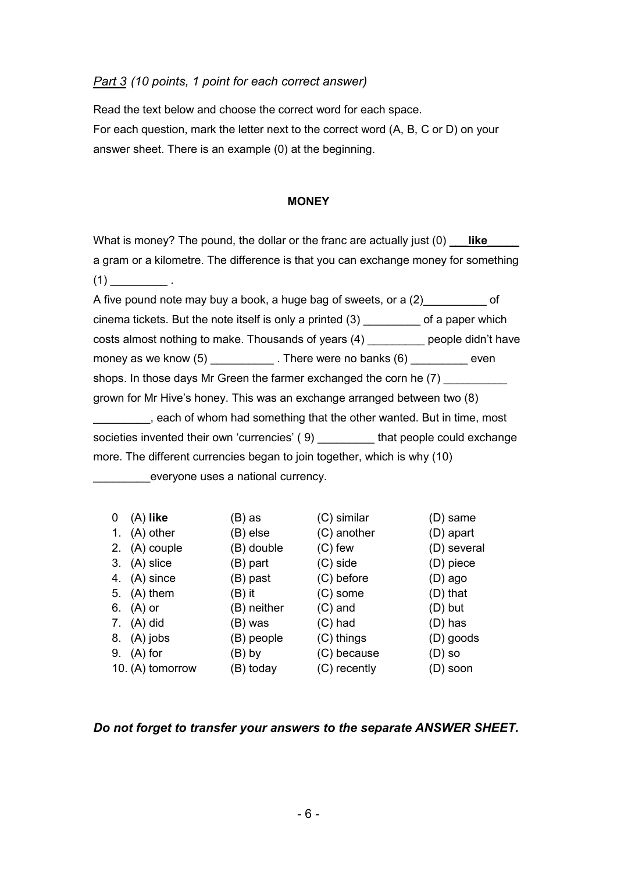### *Part 3 (10 points, 1 point for each correct answer)*

Read the text below and choose the correct word for each space. For each question, mark the letter next to the correct word (A, B, C or D) on your answer sheet. There is an example (0) at the beginning.

#### **MONEY**

What is money? The pound, the dollar or the franc are actually just (0) **like** a gram or a kilometre. The difference is that you can exchange money for something  $(1)$  .

A five pound note may buy a book, a huge bag of sweets, or a  $(2)$  of cinema tickets. But the note itself is only a printed (3) \_\_\_\_\_\_\_\_\_ of a paper which costs almost nothing to make. Thousands of years (4) \_\_\_\_\_\_\_\_\_ people didn't have money as we know (5) \_\_\_\_\_\_\_\_\_\_\_\_. There were no banks (6) \_\_\_\_\_\_\_\_\_\_ even shops. In those days Mr Green the farmer exchanged the corn he (7) grown for Mr Hive's honey. This was an exchange arranged between two (8) **Example 2**, each of whom had something that the other wanted. But in time, most societies invented their own 'currencies' (9) by that people could exchange more. The different currencies began to join together, which is why (10) everyone uses a national currency.

| 0  | $(A)$ like       | (B) as      | (C) similar  | (D) same    |
|----|------------------|-------------|--------------|-------------|
| 1. | (A) other        | (B) else    | (C) another  | (D) apart   |
|    | 2. (A) couple    | (B) double  | $(C)$ few    | (D) several |
| 3. | (A) slice        | (B) part    | $(C)$ side   | (D) piece   |
| 4. | (A) since        | (B) past    | (C) before   | $(D)$ ago   |
| 5. | $(A)$ them       | $(B)$ it    | $(C)$ some   | (D) that    |
|    | 6. (A) or        | (B) neither | $(C)$ and    | $(D)$ but   |
|    | 7. (A) did       | (B) was     | $(C)$ had    | (D) has     |
|    | 8. (A) jobs      | (B) people  | (C) things   | (D) goods   |
| 9. | $(A)$ for        | (B) by      | (C) because  | $(D)$ so    |
|    | 10. (A) tomorrow | (B) today   | (C) recently | $(D)$ soon  |